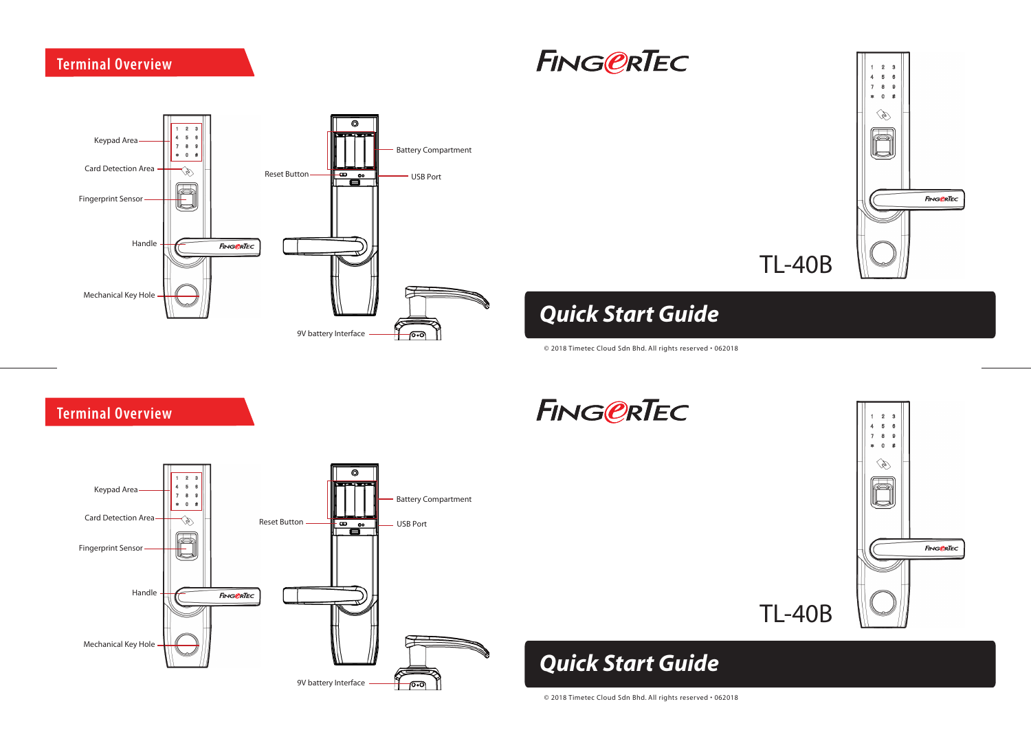**Terminal Overview**







# *Quick Start Guide*

© 2018 Timetec Cloud Sdn Bhd. All rights reserved • 062018